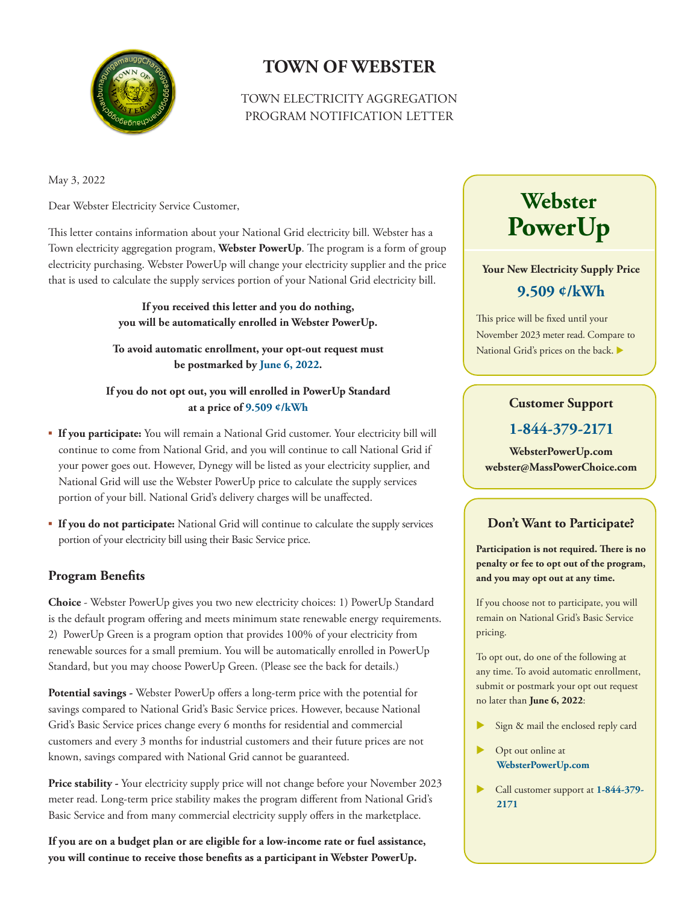

### **TOWN OF WEBSTER**

#### TOWN ELECTRICITY AGGREGATION PROGRAM NOTIFICATION LETTER

May 3, 2022

Dear Webster Electricity Service Customer,

This letter contains information about your National Grid electricity bill. Webster has a Town electricity aggregation program, **Webster PowerUp**. The program is a form of group electricity purchasing. Webster PowerUp will change your electricity supplier and the price that is used to calculate the supply services portion of your National Grid electricity bill.

> **If you received this letter and you do nothing, you will be automatically enrolled in Webster PowerUp.**

**To avoid automatic enrollment, your opt-out request must be postmarked by June 6, 2022.** 

#### **If you do not opt out, you will enrolled in PowerUp Standard at a price of 9.509 ¢/kWh**

- **If you participate:** You will remain a National Grid customer. Your electricity bill will continue to come from National Grid, and you will continue to call National Grid if your power goes out. However, Dynegy will be listed as your electricity supplier, and National Grid will use the Webster PowerUp price to calculate the supply services portion of your bill. National Grid's delivery charges will be unaffected.
- **If you do not participate:** National Grid will continue to calculate the supply services portion of your electricity bill using their Basic Service price.

#### **Program Benefits**

**Choice** - Webster PowerUp gives you two new electricity choices: 1) PowerUp Standard is the default program offering and meets minimum state renewable energy requirements. 2) PowerUp Green is a program option that provides 100% of your electricity from renewable sources for a small premium. You will be automatically enrolled in PowerUp Standard, but you may choose PowerUp Green. (Please see the back for details.)

**Potential savings -** Webster PowerUp offers a long-term price with the potential for savings compared to National Grid's Basic Service prices. However, because National Grid's Basic Service prices change every 6 months for residential and commercial customers and every 3 months for industrial customers and their future prices are not known, savings compared with National Grid cannot be guaranteed.

**Price stability -** Your electricity supply price will not change before your November 2023 meter read. Long-term price stability makes the program different from National Grid's Basic Service and from many commercial electricity supply offers in the marketplace.

**If you are on a budget plan or are eligible for a low-income rate or fuel assistance, you will continue to receive those benefits as a participant in Webster PowerUp.** 

# **Webster PowerUp**

**Your New Electricity Supply Price 9.509 ¢/kWh**

This price will be fixed until your November 2023 meter read. Compare to National Grid's prices on the back.

#### **Customer Support**

#### **1-844-379-2171**

**WebsterPowerUp.com webster@MassPowerChoice.com**

#### **Don't Want to Participate?**

**Participation is not required. There is no penalty or fee to opt out of the program, and you may opt out at any time.**

If you choose not to participate, you will remain on National Grid's Basic Service pricing.

To opt out, do one of the following at any time. To avoid automatic enrollment, submit or postmark your opt out request no later than **June 6, 2022**:

- Sign & mail the enclosed reply card
- Opt out online at **WebsterPowerUp.com**
- Call customer support at **1-844-379- 2171**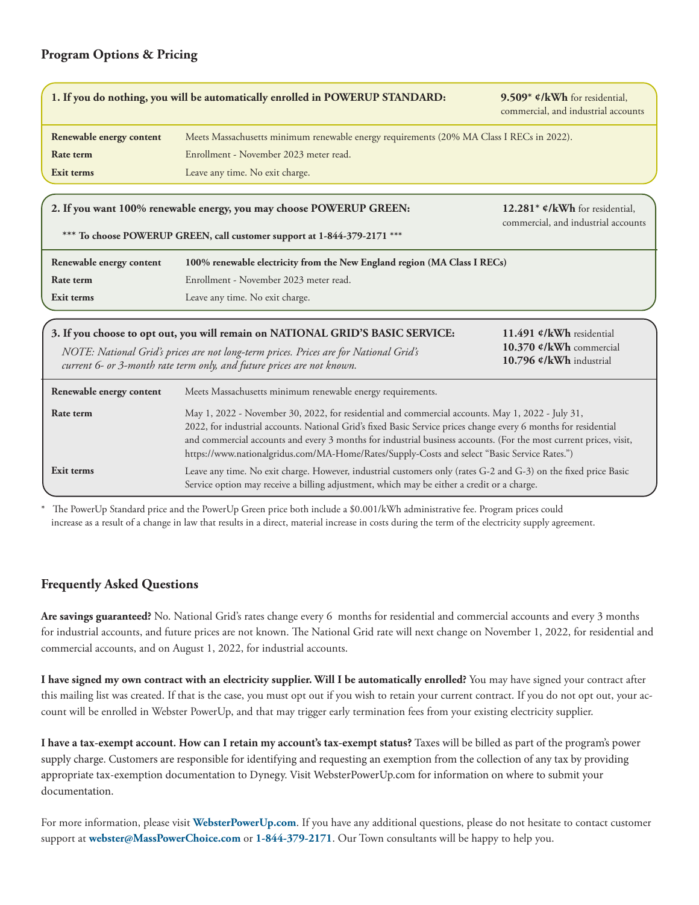#### **Program Options & Pricing**

|                                                                                                                                                                                                                       | 1. If you do nothing, you will be automatically enrolled in POWERUP STANDARD:                                                                                                                                                                                                                                                                                                                                                            | 9.509* $\mathcal{C}/kWh$ for residential,<br>commercial, and industrial accounts |
|-----------------------------------------------------------------------------------------------------------------------------------------------------------------------------------------------------------------------|------------------------------------------------------------------------------------------------------------------------------------------------------------------------------------------------------------------------------------------------------------------------------------------------------------------------------------------------------------------------------------------------------------------------------------------|----------------------------------------------------------------------------------|
| Renewable energy content                                                                                                                                                                                              | Meets Massachusetts minimum renewable energy requirements (20% MA Class I RECs in 2022).                                                                                                                                                                                                                                                                                                                                                 |                                                                                  |
| <b>Rate term</b>                                                                                                                                                                                                      | Enrollment - November 2023 meter read.                                                                                                                                                                                                                                                                                                                                                                                                   |                                                                                  |
| Exit terms                                                                                                                                                                                                            | Leave any time. No exit charge.                                                                                                                                                                                                                                                                                                                                                                                                          |                                                                                  |
|                                                                                                                                                                                                                       |                                                                                                                                                                                                                                                                                                                                                                                                                                          |                                                                                  |
|                                                                                                                                                                                                                       | 2. If you want 100% renewable energy, you may choose POWERUP GREEN:                                                                                                                                                                                                                                                                                                                                                                      | 12.281* $\mathcal{O}/kWh$ for residential.                                       |
|                                                                                                                                                                                                                       | *** To choose POWERUP GREEN, call customer support at 1-844-379-2171 ***                                                                                                                                                                                                                                                                                                                                                                 | commercial, and industrial accounts                                              |
|                                                                                                                                                                                                                       |                                                                                                                                                                                                                                                                                                                                                                                                                                          |                                                                                  |
| Renewable energy content                                                                                                                                                                                              | 100% renewable electricity from the New England region (MA Class I RECs)                                                                                                                                                                                                                                                                                                                                                                 |                                                                                  |
| Rate term                                                                                                                                                                                                             | Enrollment - November 2023 meter read.                                                                                                                                                                                                                                                                                                                                                                                                   |                                                                                  |
| Exit terms                                                                                                                                                                                                            | Leave any time. No exit charge.                                                                                                                                                                                                                                                                                                                                                                                                          |                                                                                  |
|                                                                                                                                                                                                                       |                                                                                                                                                                                                                                                                                                                                                                                                                                          |                                                                                  |
| 3. If you choose to opt out, you will remain on NATIONAL GRID'S BASIC SERVICE:                                                                                                                                        |                                                                                                                                                                                                                                                                                                                                                                                                                                          | 11.491 ¢/kWh residential                                                         |
| 10.370 ¢/kWh commercial<br>NOTE: National Grid's prices are not long-term prices. Prices are for National Grid's<br>10.796 ¢/kWh industrial<br>current 6- or 3-month rate term only, and future prices are not known. |                                                                                                                                                                                                                                                                                                                                                                                                                                          |                                                                                  |
| Renewable energy content                                                                                                                                                                                              | Meets Massachusetts minimum renewable energy requirements.                                                                                                                                                                                                                                                                                                                                                                               |                                                                                  |
| Rate term                                                                                                                                                                                                             | May 1, 2022 - November 30, 2022, for residential and commercial accounts. May 1, 2022 - July 31,<br>2022, for industrial accounts. National Grid's fixed Basic Service prices change every 6 months for residential<br>and commercial accounts and every 3 months for industrial business accounts. (For the most current prices, visit,<br>https://www.nationalgridus.com/MA-Home/Rates/Supply-Costs and select "Basic Service Rates.") |                                                                                  |
| Exit terms                                                                                                                                                                                                            | Leave any time. No exit charge. However, industrial customers only (rates G-2 and G-3) on the fixed price Basic<br>Service option may receive a billing adjustment, which may be either a credit or a charge.                                                                                                                                                                                                                            |                                                                                  |

The PowerUp Standard price and the PowerUp Green price both include a \$0.001/kWh administrative fee. Program prices could increase as a result of a change in law that results in a direct, material increase in costs during the term of the electricity supply agreement.

#### **Frequently Asked Questions**

**Are savings guaranteed?** No. National Grid's rates change every 6 months for residential and commercial accounts and every 3 months for industrial accounts, and future prices are not known. The National Grid rate will next change on November 1, 2022, for residential and commercial accounts, and on August 1, 2022, for industrial accounts.

**I have signed my own contract with an electricity supplier. Will I be automatically enrolled?** You may have signed your contract after this mailing list was created. If that is the case, you must opt out if you wish to retain your current contract. If you do not opt out, your account will be enrolled in Webster PowerUp, and that may trigger early termination fees from your existing electricity supplier.

**I have a tax-exempt account. How can I retain my account's tax-exempt status?** Taxes will be billed as part of the program's power supply charge. Customers are responsible for identifying and requesting an exemption from the collection of any tax by providing appropriate tax-exemption documentation to Dynegy. Visit WebsterPowerUp.com for information on where to submit your documentation.

For more information, please visit **WebsterPowerUp.com**. If you have any additional questions, please do not hesitate to contact customer support at **webster@MassPowerChoice.com** or **1-844-379-2171**. Our Town consultants will be happy to help you.